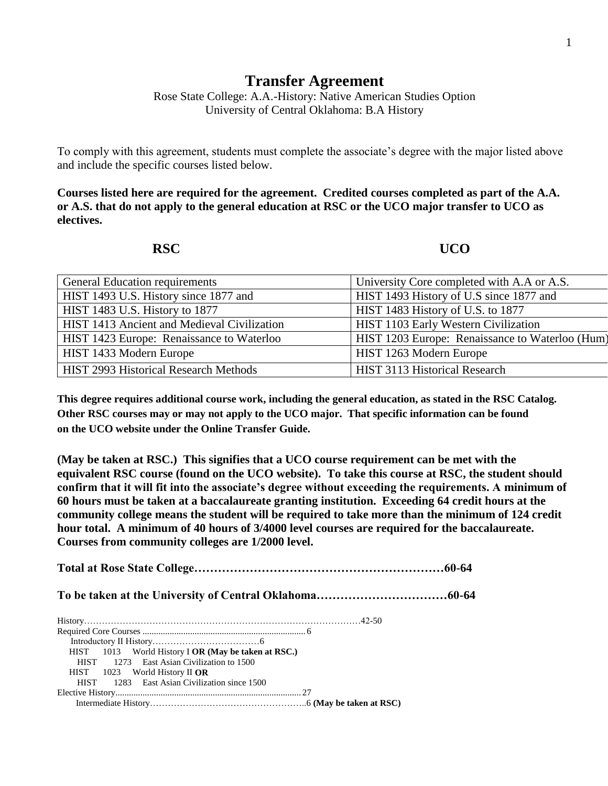## **Transfer Agreement**

Rose State College: A.A.-History: Native American Studies Option University of Central Oklahoma: B.A History

To comply with this agreement, students must complete the associate's degree with the major listed above and include the specific courses listed below.

**Courses listed here are required for the agreement. Credited courses completed as part of the A.A. or A.S. that do not apply to the general education at RSC or the UCO major transfer to UCO as electives.**

**RSC UCO** 

| General Education requirements              | University Core completed with A.A or A.S.      |
|---------------------------------------------|-------------------------------------------------|
| HIST 1493 U.S. History since 1877 and       | HIST 1493 History of U.S since 1877 and         |
| HIST 1483 U.S. History to 1877              | HIST 1483 History of U.S. to 1877               |
| HIST 1413 Ancient and Medieval Civilization | HIST 1103 Early Western Civilization            |
| HIST 1423 Europe: Renaissance to Waterloo   | HIST 1203 Europe: Renaissance to Waterloo (Hum) |
| HIST 1433 Modern Europe                     | HIST 1263 Modern Europe                         |
| HIST 2993 Historical Research Methods       | HIST 3113 Historical Research                   |

**This degree requires additional course work, including the general education, as stated in the RSC Catalog. Other RSC courses may or may not apply to the UCO major. That specific information can be found on the UCO website under the Online Transfer Guide.**

**(May be taken at RSC.) This signifies that a UCO course requirement can be met with the equivalent RSC course (found on the UCO website). To take this course at RSC, the student should confirm that it will fit into the associate's degree without exceeding the requirements. A minimum of 60 hours must be taken at a baccalaureate granting institution. Exceeding 64 credit hours at the community college means the student will be required to take more than the minimum of 124 credit hour total. A minimum of 40 hours of 3/4000 level courses are required for the baccalaureate. Courses from community colleges are 1/2000 level.**

**Total at Rose State College………………………………………………………60-64 To be taken at the University of Central Oklahoma……………………………60-64** History…………………………………………………………………………………42-50 Required Core Courses ........................................................................ 6 Introductory II History………………………………6 HIST 1013 World History I **OR (May be taken at RSC.)** HIST 1273 East Asian Civilization to 1500 HIST 1023 World History II **OR** HIST 1283 East Asian Civilization since 1500 Elective History.................................................................................. 27 Intermediate History……………………………………………..6 **(May be taken at RSC)**